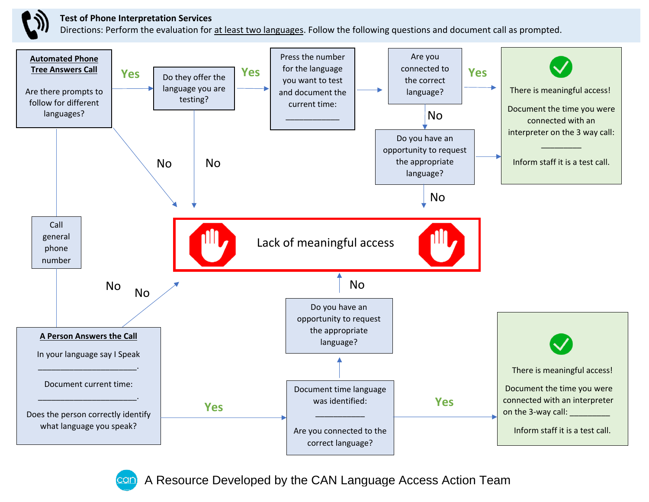

## **Test of Phone Interpretation Services**

Directions: Perform the evaluation for at least two languages. Follow the following questions and document call as prompted.



A Resource Developed by the CAN Language Access Action Team